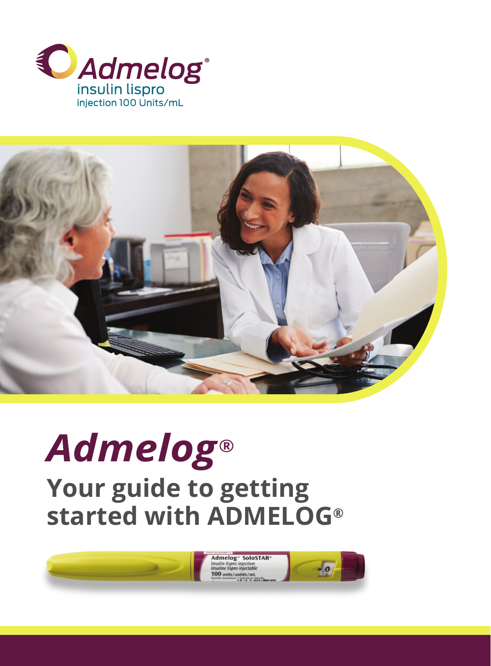



# **Your guide to getting started with ADMELOG®** *Admelog®*



**Admelog<sup>®</sup>** SoloSTAR sulin lispro injection<br>suline lispro injectabl 100 units/unités/mL

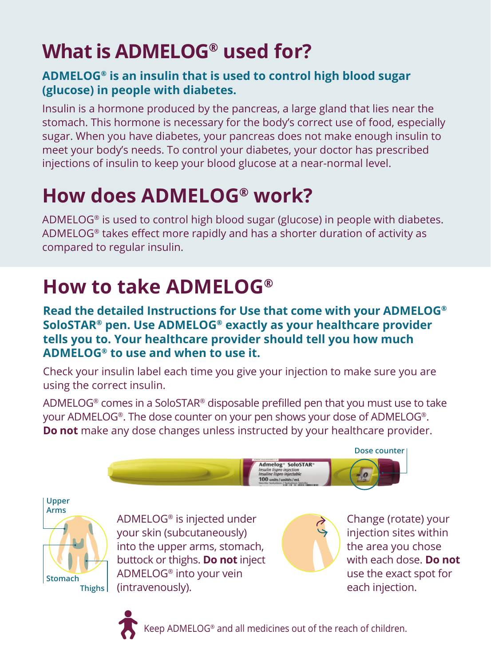# **What is ADMELOG® used for?**

#### **ADMELOG® is an insulin that is used to control high blood sugar (glucose) in people with diabetes.**

Insulin is a hormone produced by the pancreas, a large gland that lies near the stomach. This hormone is necessary for the body's correct use of food, especially sugar. When you have diabetes, your pancreas does not make enough insulin to meet your body's needs. To control your diabetes, your doctor has prescribed injections of insulin to keep your blood glucose at a near-normal level.

# **How does ADMELOG® work?**

ADMELOG® is used to control high blood sugar (glucose) in people with diabetes. ADMELOG® takes effect more rapidly and has a shorter duration of activity as compared to regular insulin.

### **How to take ADMELOG®**

**Read the detailed Instructions for Use that come with your ADMELOG® SoloSTAR® pen. Use ADMELOG® exactly as your healthcare provider tells you to. Your healthcare provider should tell you how much ADMELOG® to use and when to use it.**

Check your insulin label each time you give your injection to make sure you are using the correct insulin.

ADMELOG® comes in a SoloSTAR® disposable prefilled pen that you must use to take your ADMELOG®. The dose counter on your pen shows your dose of ADMELOG®. **Do not** make any dose changes unless instructed by your healthcare provider.



**Upper Arms Stomach Thighs**

ADMELOG® is injected under your skin (subcutaneously) into the upper arms, stomach, buttock or thighs. **Do not** inject ADMELOG® into your vein (intravenously).



Change (rotate) your injection sites within the area you chose with each dose. **Do not** use the exact spot for each injection.



Keep ADMELOG® and all medicines out of the reach of children.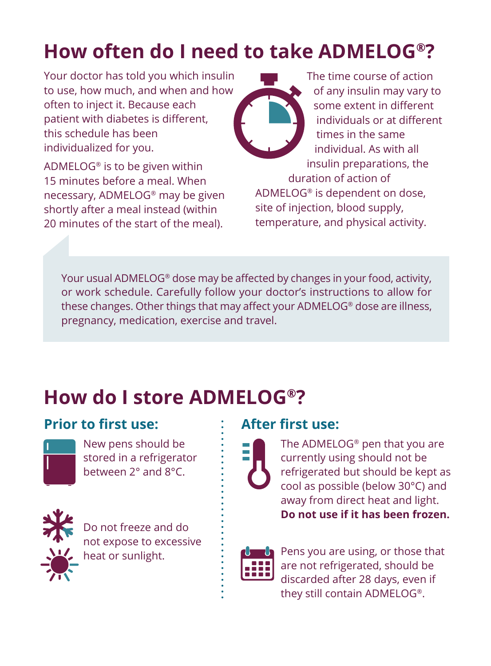# **How often do I need to take ADMELOG®?**

Your doctor has told you which insulin to use, how much, and when and how often to inject it. Because each patient with diabetes is different, this schedule has been individualized for you.

ADMELOG® is to be given within 15 minutes before a meal. When necessary, ADMELOG® may be given shortly after a meal instead (within 20 minutes of the start of the meal).



The time course of action of any insulin may vary to some extent in different individuals or at different times in the same individual. As with all insulin preparations, the duration of action of ADMELOG® is dependent on dose, site of injection, blood supply, temperature, and physical activity.

Your usual ADMELOG® dose may be affected by changes in your food, activity, or work schedule. Carefully follow your doctor's instructions to allow for these changes. Other things that may affect your ADMELOG® dose are illness, pregnancy, medication, exercise and travel.

### **How do I store ADMELOG®?**

#### **Prior to first use:**



New pens should be stored in a refrigerator between 2° and 8°C.



Do not freeze and do not expose to excessive heat or sunlight.

#### **After first use:**



The ADMELOG® pen that you are currently using should not be refrigerated but should be kept as cool as possible (below 30°C) and away from direct heat and light. **Do not use if it has been frozen.**



Pens you are using, or those that are not refrigerated, should be discarded after 28 days, even if they still contain ADMELOG®.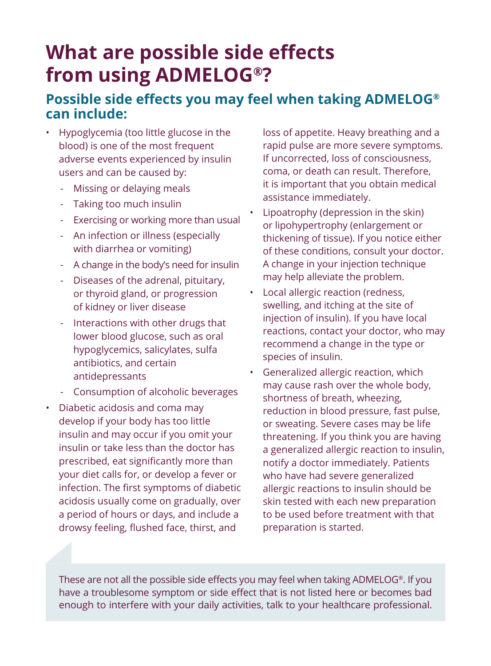### **What are possible side effects from using ADMELOG®?**

#### **Possible side effects you may feel when taking ADMELOG® can include:**

- Hypoglycemia (too little glucose in the blood) is one of the most frequent adverse events experienced by insulin users and can be caused by:
	- Missing or delaying meals
	- Taking too much insulin
	- Exercising or working more than usual
	- An infection or illness (especially with diarrhea or vomiting)
	- A change in the body's need for insulin
	- Diseases of the adrenal, pituitary, or thyroid gland, or progression of kidney or liver disease
	- Interactions with other drugs that lower blood glucose, such as oral hypoglycemics, salicylates, sulfa antibiotics, and certain antidepressants
	- Consumption of alcoholic beverages
- Diabetic acidosis and coma may develop if your body has too little insulin and may occur if you omit your insulin or take less than the doctor has prescribed, eat significantly more than your diet calls for, or develop a fever or infection. The first symptoms of diabetic acidosis usually come on gradually, over a period of hours or days, and include a drowsy feeling, flushed face, thirst, and

loss of appetite. Heavy breathing and a rapid pulse are more severe symptoms. If uncorrected, loss of consciousness, coma, or death can result. Therefore, it is important that you obtain medical assistance immediately.

- Lipoatrophy (depression in the skin) or lipohypertrophy (enlargement or thickening of tissue). If you notice either of these conditions, consult your doctor. A change in your injection technique may help alleviate the problem.
- Local allergic reaction (redness, swelling, and itching at the site of injection of insulin). If you have local reactions, contact your doctor, who may recommend a change in the type or species of insulin.
- Generalized allergic reaction, which may cause rash over the whole body, shortness of breath, wheezing, reduction in blood pressure, fast pulse, or sweating. Severe cases may be life threatening. If you think you are having a generalized allergic reaction to insulin, notify a doctor immediately. Patients who have had severe generalized allergic reactions to insulin should be skin tested with each new preparation to be used before treatment with that preparation is started.

These are not all the possible side effects you may feel when taking ADMELOG®. If you have a troublesome symptom or side effect that is not listed here or becomes bad enough to interfere with your daily activities, talk to your healthcare professional.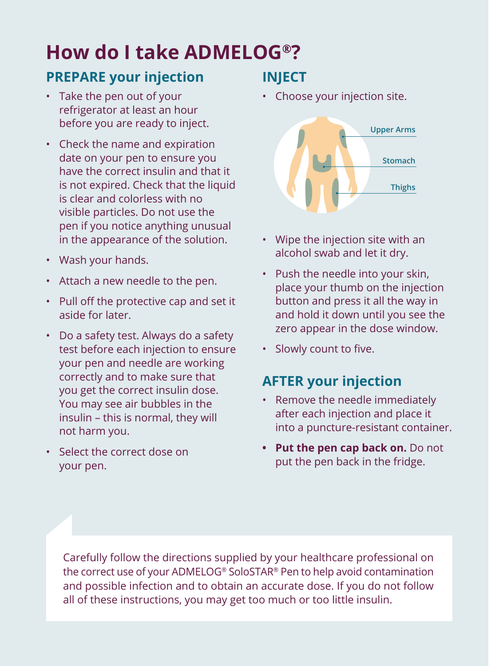# **How do I take ADMELOG®?**

#### **PREPARE your injection**

- Take the pen out of your refrigerator at least an hour before you are ready to inject.
- Check the name and expiration date on your pen to ensure you have the correct insulin and that it is not expired. Check that the liquid is clear and colorless with no visible particles. Do not use the pen if you notice anything unusual in the appearance of the solution.
- Wash your hands.
- Attach a new needle to the pen.
- Pull off the protective cap and set it aside for later.
- Do a safety test. Always do a safety test before each injection to ensure your pen and needle are working correctly and to make sure that you get the correct insulin dose. You may see air bubbles in the insulin – this is normal, they will not harm you.
- Select the correct dose on your pen.

#### **INJECT**

• Choose your injection site.



- Wipe the injection site with an alcohol swab and let it dry.
- Push the needle into your skin, place your thumb on the injection button and press it all the way in and hold it down until you see the zero appear in the dose window.
- Slowly count to five.

#### **AFTER your injection**

- Remove the needle immediately after each injection and place it into a puncture-resistant container.
- **• Put the pen cap back on.** Do not put the pen back in the fridge.

Carefully follow the directions supplied by your healthcare professional on the correct use of your ADMELOG® SoloSTAR® Pen to help avoid contamination and possible infection and to obtain an accurate dose. If you do not follow all of these instructions, you may get too much or too little insulin.